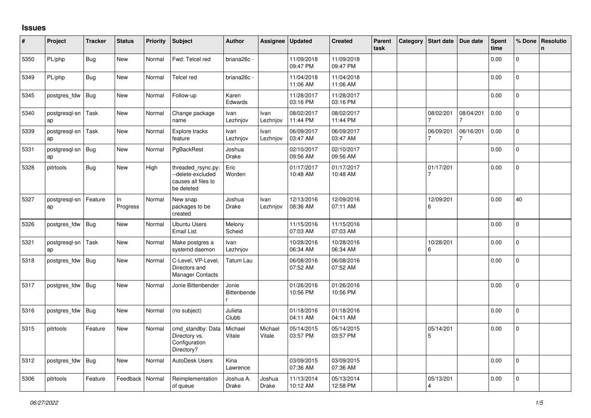## **Issues**

| #    | Project             | <b>Tracker</b> | <b>Status</b>  | <b>Priority</b> | <b>Subject</b>                                                               | <b>Author</b>               | Assignee                | Updated                | <b>Created</b>         | Parent<br>task | Category Start date         | Due date  | <b>Spent</b><br>time | % Done         | Resolutio<br>n. |
|------|---------------------|----------------|----------------|-----------------|------------------------------------------------------------------------------|-----------------------------|-------------------------|------------------------|------------------------|----------------|-----------------------------|-----------|----------------------|----------------|-----------------|
| 5350 | PL/php              | <b>Bug</b>     | New            | Normal          | Fwd: Telcel red                                                              | briana26c -                 |                         | 11/09/2018<br>09:47 PM | 11/09/2018<br>09:47 PM |                |                             |           | 0.00                 | $\overline{0}$ |                 |
| 5349 | PL/php              | <b>Bug</b>     | New            | Normal          | Telcel red                                                                   | briana26c -                 |                         | 11/04/2018<br>11:06 AM | 11/04/2018<br>11:06 AM |                |                             |           | 0.00                 | $\mathbf 0$    |                 |
| 5345 | postgres_fdw        | Bug            | New            | Normal          | Follow-up                                                                    | Karen<br>Edwards            |                         | 11/28/2017<br>03:16 PM | 11/28/2017<br>03:16 PM |                |                             |           | 0.00                 | $\mathbf 0$    |                 |
| 5340 | postgresgl-sn<br>ap | Task           | <b>New</b>     | Normal          | Change package<br>name                                                       | Ivan<br>Lezhnjov            | Ivan<br>Lezhnjov        | 08/02/2017<br>11:44 PM | 08/02/2017<br>11:44 PM |                | 08/02/201                   | 08/04/201 | 0.00                 | $\mathbf 0$    |                 |
| 5339 | postgresgl-sn<br>ap | Task           | New            | Normal          | Explore tracks<br>feature                                                    | Ivan<br>Lezhnjov            | Ivan<br>Lezhnjov        | 06/09/2017<br>03:47 AM | 06/09/2017<br>03:47 AM |                | 06/09/201                   | 06/16/201 | 0.00                 | $\overline{0}$ |                 |
| 5331 | postgresql-sn<br>ap | <b>Bug</b>     | <b>New</b>     | Normal          | PgBackRest                                                                   | Joshua<br><b>Drake</b>      |                         | 02/10/2017<br>09:56 AM | 02/10/2017<br>09:56 AM |                |                             |           | 0.00                 | $\overline{0}$ |                 |
| 5328 | pitrtools           | <b>Bug</b>     | <b>New</b>     | High            | threaded_rsync.py:<br>--delete-excluded<br>causes all files to<br>be deleted | Eric<br>Worden              |                         | 01/17/2017<br>10:48 AM | 01/17/2017<br>10:48 AM |                | 01/17/201<br>$\overline{7}$ |           | 0.00                 | $\mathbf{0}$   |                 |
| 5327 | postgresgl-sn<br>ap | Feature        | In<br>Progress | Normal          | New snap<br>packages to be<br>created                                        | Joshua<br><b>Drake</b>      | <b>Ivan</b><br>Lezhnjov | 12/13/2016<br>08:36 AM | 12/09/2016<br>07:11 AM |                | 12/09/201<br>6              |           | 0.00                 | 40             |                 |
| 5326 | postgres fdw        | <b>Bug</b>     | <b>New</b>     | Normal          | <b>Ubuntu Users</b><br><b>Email List</b>                                     | Melony<br>Scheid            |                         | 11/15/2016<br>07:03 AM | 11/15/2016<br>07:03 AM |                |                             |           | 0.00                 | $\Omega$       |                 |
| 5321 | postgresql-sn<br>ap | Task           | <b>New</b>     | Normal          | Make postgres a<br>systemd daemon                                            | Ivan<br>Lezhnjov            |                         | 10/28/2016<br>06:34 AM | 10/28/2016<br>06:34 AM |                | 10/28/201<br>6              |           | 0.00                 | $\Omega$       |                 |
| 5318 | postgres fdw        | Bug            | New            | Normal          | C-Level, VP-Level,<br>Directors and<br><b>Manager Contacts</b>               | Tatum Lau                   |                         | 06/08/2016<br>07:52 AM | 06/08/2016<br>07:52 AM |                |                             |           | 0.00                 | $\overline{0}$ |                 |
| 5317 | postgres fdw        | Bug            | New            | Normal          | Jonie Bittenbender                                                           | Jonie<br><b>Bittenbende</b> |                         | 01/26/2016<br>10:56 PM | 01/26/2016<br>10:56 PM |                |                             |           | 0.00                 | $\Omega$       |                 |
| 5316 | postgres fdw        | Bug            | <b>New</b>     | Normal          | (no subject)                                                                 | Julieta<br>Clubb            |                         | 01/18/2016<br>04:11 AM | 01/18/2016<br>04:11 AM |                |                             |           | 0.00                 | 0              |                 |
| 5315 | pitrtools           | Feature        | New            | Normal          | cmd_standby: Data<br>Directory vs.<br>Configuration<br>Directory?            | Michael<br>Vitale           | Michael<br>Vitale       | 05/14/2015<br>03:57 PM | 05/14/2015<br>03:57 PM |                | 05/14/201<br>5              |           | 0.00                 | $\mathbf 0$    |                 |
| 5312 | postgres fdw        | Bug            | <b>New</b>     | Normal          | AutoDesk Users                                                               | Kina<br>Lawrence            |                         | 03/09/2015<br>07:36 AM | 03/09/2015<br>07:36 AM |                |                             |           | 0.00                 | 0              |                 |
| 5306 | pitrtools           | Feature        | Feedback       | Normal          | Reimplementation<br>of queue                                                 | Joshua A.<br>Drake          | Joshua<br>Drake         | 11/13/2014<br>10:12 AM | 05/13/2014<br>12:58 PM |                | 05/13/201<br>4              |           | 0.00                 | 0              |                 |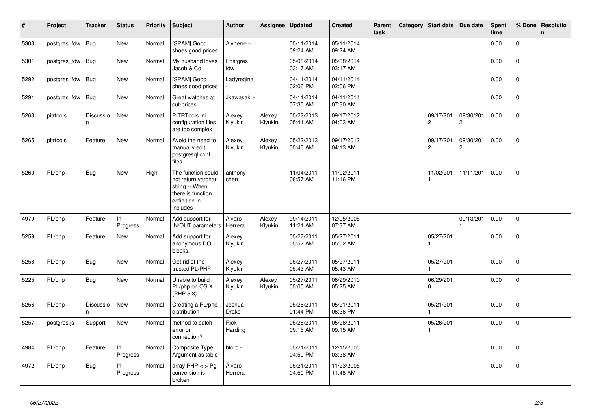| $\vert$ # | Project      | <b>Tracker</b> | <b>Status</b>   | <b>Priority</b> | <b>Subject</b>                                                                                               | <b>Author</b>          | Assignee          | <b>Updated</b>         | <b>Created</b>         | Parent<br>task | Category | Start date                  | Due date       | <b>Spent</b><br>time | % Done         | Resolutio<br>$\mathsf{n}$ |
|-----------|--------------|----------------|-----------------|-----------------|--------------------------------------------------------------------------------------------------------------|------------------------|-------------------|------------------------|------------------------|----------------|----------|-----------------------------|----------------|----------------------|----------------|---------------------------|
| 5303      | postgres_fdw | Bug            | <b>New</b>      | Normal          | [SPAM] Good<br>shoes good prices                                                                             | Alvherre -             |                   | 05/11/2014<br>09:24 AM | 05/11/2014<br>09:24 AM |                |          |                             |                | 0.00                 | $\Omega$       |                           |
| 5301      | postgres_fdw | Bug            | <b>New</b>      | Normal          | My husband loves<br>Jacob & Co                                                                               | Postgres<br>fdw        |                   | 05/08/2014<br>03:17 AM | 05/08/2014<br>03:17 AM |                |          |                             |                | 0.00                 | $\mathsf{O}$   |                           |
| 5292      | postgres_fdw | <b>Bug</b>     | New             | Normal          | [SPAM] Good<br>shoes good prices                                                                             | Ladyregina             |                   | 04/11/2014<br>02:06 PM | 04/11/2014<br>02:06 PM |                |          |                             |                | 0.00                 | $\overline{0}$ |                           |
| 5291      | postgres_fdw | Bug            | New             | Normal          | Great watches at<br>cut-prices                                                                               | Jkawasaki <sub>`</sub> |                   | 04/11/2014<br>07:30 AM | 04/11/2014<br>07:30 AM |                |          |                             |                | 0.00                 | 0              |                           |
| 5263      | pitrtools    | Discussio<br>n | <b>New</b>      | Normal          | PITRTools ini<br>configuration files<br>are too complex                                                      | Alexey<br>Klyukin      | Alexey<br>Klyukin | 05/22/2013<br>05:41 AM | 09/17/2012<br>04:03 AM |                |          | 09/17/201<br>$\overline{c}$ | 09/30/201<br>2 | 0.00                 | $\mathbf 0$    |                           |
| 5265      | pitrtools    | Feature        | <b>New</b>      | Normal          | Avoid the need to<br>manually edit<br>postgresql.conf<br>files                                               | Alexey<br>Klyukin      | Alexey<br>Klyukin | 05/22/2013<br>05:40 AM | 09/17/2012<br>04:13 AM |                |          | 09/17/201<br>$\overline{c}$ | 09/30/201<br>2 | 0.00                 | $\Omega$       |                           |
| 5260      | PL/php       | Bug            | <b>New</b>      | High            | The function could<br>not return varchar<br>string -- When<br>there is function<br>definition in<br>includes | anthony<br>chen        |                   | 11/04/2011<br>08:57 AM | 11/02/2011<br>11:16 PM |                |          | 11/02/201<br>$\mathbf{1}$   | 11/11/201<br>1 | 0.00                 | $\Omega$       |                           |
| 4979      | PL/php       | Feature        | In.<br>Progress | Normal          | Add support for<br><b>IN/OUT</b> parameters                                                                  | Álvaro<br>Herrera      | Alexey<br>Klyukin | 09/14/2011<br>11:21 AM | 12/05/2005<br>07:37 AM |                |          |                             | 09/13/201      | 0.00                 | $\Omega$       |                           |
| 5259      | PL/php       | Feature        | New             | Normal          | Add support for<br>anonymous DO<br>blocks.                                                                   | Alexey<br>Klyukin      |                   | 05/27/2011<br>05:52 AM | 05/27/2011<br>05:52 AM |                |          | 05/27/201                   |                | 0.00                 | 0              |                           |
| 5258      | PL/php       | Bug            | <b>New</b>      | Normal          | Get rid of the<br>trusted PL/PHP                                                                             | Alexey<br>Klyukin      |                   | 05/27/2011<br>05:43 AM | 05/27/2011<br>05:43 AM |                |          | 05/27/201                   |                | 0.00                 | $\mathbf 0$    |                           |
| 5225      | PL/php       | <b>Bug</b>     | <b>New</b>      | Normal          | Unable to build<br>PL/php on OS X<br>(PHP 5.3)                                                               | Alexey<br>Klyukin      | Alexey<br>Klyukin | 05/27/2011<br>05:05 AM | 06/29/2010<br>05:25 AM |                |          | 06/29/201<br>$\Omega$       |                | 0.00                 | $\Omega$       |                           |
| 5256      | $PL$ /php    | Discussio<br>n | New             | Normal          | Creating a PL/php<br>distribution                                                                            | Joshua<br><b>Drake</b> |                   | 05/26/2011<br>01:44 PM | 05/21/2011<br>06:36 PM |                |          | 05/21/201                   |                | 0.00                 | $\Omega$       |                           |
| 5257      | postgres.js  | Support        | New             | Normal          | method to catch<br>error on<br>connection?                                                                   | Rick<br>Harding        |                   | 05/26/2011<br>09:15 AM | 05/26/2011<br>09:15 AM |                |          | 05/26/201                   |                | 0.00                 | 0              |                           |
| 4984      | PL/php       | Feature        | In<br>Progress  | Normal          | Composite Type<br>Argument as table                                                                          | bford -                |                   | 05/21/2011<br>04:50 PM | 12/15/2005<br>03:38 AM |                |          |                             |                | 0.00                 | $\Omega$       |                           |
| 4972      | PL/php       | <b>Bug</b>     | In<br>Progress  | Normal          | array $PHP \lt\gt P$ g<br>conversion is<br>broken                                                            | Álvaro<br>Herrera      |                   | 05/21/2011<br>04:50 PM | 11/23/2005<br>11:48 AM |                |          |                             |                | 0.00                 | $\Omega$       |                           |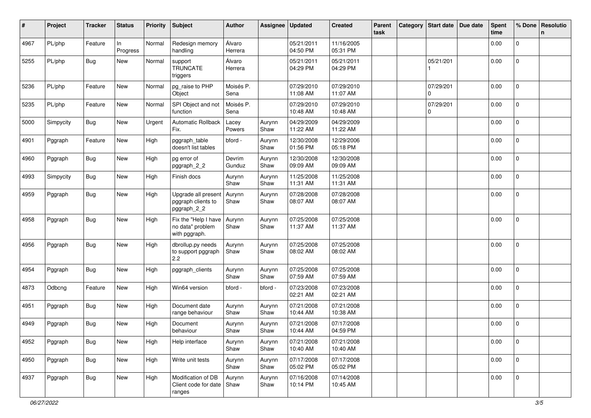| #    | Project   | <b>Tracker</b> | <b>Status</b>  | <b>Priority</b> | <b>Subject</b>                                              | <b>Author</b>     | Assignee       | <b>Updated</b>         | <b>Created</b>         | Parent<br>task | Category Start date      | Due date | <b>Spent</b><br>time | % Done              | Resolutio<br>n. |
|------|-----------|----------------|----------------|-----------------|-------------------------------------------------------------|-------------------|----------------|------------------------|------------------------|----------------|--------------------------|----------|----------------------|---------------------|-----------------|
| 4967 | PL/php    | Feature        | In<br>Progress | Normal          | Redesign memory<br>handling                                 | Álvaro<br>Herrera |                | 05/21/2011<br>04:50 PM | 11/16/2005<br>05:31 PM |                |                          |          | 0.00                 | 0                   |                 |
| 5255 | PL/php    | Bug            | New            | Normal          | support<br><b>TRUNCATE</b><br>triggers                      | Álvaro<br>Herrera |                | 05/21/2011<br>04:29 PM | 05/21/2011<br>04:29 PM |                | 05/21/201                |          | 0.00                 | $\overline{0}$      |                 |
| 5236 | PL/php    | Feature        | New            | Normal          | pg_raise to PHP<br>Object                                   | Moisés P.<br>Sena |                | 07/29/2010<br>11:08 AM | 07/29/2010<br>11:07 AM |                | 07/29/201<br>$\Omega$    |          | 0.00                 | $\mathbf{0}$        |                 |
| 5235 | PL/php    | Feature        | New            | Normal          | SPI Object and not<br>function                              | Moisés P.<br>Sena |                | 07/29/2010<br>10:48 AM | 07/29/2010<br>10:48 AM |                | 07/29/201<br>$\mathbf 0$ |          | 0.00                 | 0                   |                 |
| 5000 | Simpycity | <b>Bug</b>     | New            | Urgent          | Automatic Rollback<br>Fix.                                  | Lacey<br>Powers   | Aurynn<br>Shaw | 04/29/2009<br>11:22 AM | 04/29/2009<br>11:22 AM |                |                          |          | 0.00                 | 0                   |                 |
| 4901 | Pggraph   | Feature        | New            | High            | pggraph_table<br>doesn't list tables                        | bford -           | Aurynn<br>Shaw | 12/30/2008<br>01:56 PM | 12/29/2006<br>05:18 PM |                |                          |          | 0.00                 | $\mathbf{0}$        |                 |
| 4960 | Pggraph   | <b>Bug</b>     | New            | High            | pg error of<br>pggraph_2_2                                  | Devrim<br>Gunduz  | Aurynn<br>Shaw | 12/30/2008<br>09:09 AM | 12/30/2008<br>09:09 AM |                |                          |          | 0.00                 | $\overline{0}$      |                 |
| 4993 | Simpycity | <b>Bug</b>     | New            | High            | Finish docs                                                 | Aurynn<br>Shaw    | Aurynn<br>Shaw | 11/25/2008<br>11:31 AM | 11/25/2008<br>11:31 AM |                |                          |          | 0.00                 | $\mathbf{0}$        |                 |
| 4959 | Pggraph   | Bug            | New            | High            | Upgrade all present<br>pggraph clients to<br>pggraph_2_2    | Aurynn<br>Shaw    | Aurynn<br>Shaw | 07/28/2008<br>08:07 AM | 07/28/2008<br>08:07 AM |                |                          |          | 0.00                 | $\mathbf 0$         |                 |
| 4958 | Pggraph   | <b>Bug</b>     | New            | High            | Fix the "Help I have<br>no data" problem<br>with pggraph.   | Aurynn<br>Shaw    | Aurynn<br>Shaw | 07/25/2008<br>11:37 AM | 07/25/2008<br>11:37 AM |                |                          |          | 0.00                 | $\mathbf 0$         |                 |
| 4956 | Pggraph   | Bug            | New            | High            | dbrollup.py needs<br>to support pggraph<br>2.2              | Aurynn<br>Shaw    | Aurynn<br>Shaw | 07/25/2008<br>08:02 AM | 07/25/2008<br>08:02 AM |                |                          |          | 0.00                 | $\mathbf 0$         |                 |
| 4954 | Pggraph   | <b>Bug</b>     | New            | High            | pggraph_clients                                             | Aurynn<br>Shaw    | Aurynn<br>Shaw | 07/25/2008<br>07:59 AM | 07/25/2008<br>07:59 AM |                |                          |          | 0.00                 | $\mathbf{0}$        |                 |
| 4873 | Odbcng    | Feature        | New            | High            | Win64 version                                               | bford -           | bford -        | 07/23/2008<br>02:21 AM | 07/23/2008<br>02:21 AM |                |                          |          | 0.00                 | 0                   |                 |
| 4951 | Pggraph   | Bug            | New            | High            | Document date<br>range behaviour                            | Aurynn<br>Shaw    | Aurynn<br>Shaw | 07/21/2008<br>10:44 AM | 07/21/2008<br>10:38 AM |                |                          |          | 0.00                 | $\overline{0}$      |                 |
| 4949 | Pggraph   | <b>Bug</b>     | New            | High            | Document<br>behaviour                                       | Aurynn<br>Shaw    | Aurynn<br>Shaw | 07/21/2008<br>10:44 AM | 07/17/2008<br>04:59 PM |                |                          |          | 0.00                 | 0                   |                 |
| 4952 | Pggraph   | <b>Bug</b>     | New            | High            | Help interface                                              | Aurynn<br>Shaw    | Aurynn<br>Shaw | 07/21/2008<br>10:40 AM | 07/21/2008<br>10:40 AM |                |                          |          | 0.00                 | $\mathsf{O}\xspace$ |                 |
| 4950 | Pggraph   | Bug            | New            | High            | Write unit tests                                            | Aurynn<br>Shaw    | Aurynn<br>Shaw | 07/17/2008<br>05:02 PM | 07/17/2008<br>05:02 PM |                |                          |          | 0.00                 | $\mathsf{O}\xspace$ |                 |
| 4937 | Pggraph   | <b>Bug</b>     | New            | High            | Modification of DB<br>Client code for date   Shaw<br>ranges | Aurynn            | Aurynn<br>Shaw | 07/16/2008<br>10:14 PM | 07/14/2008<br>10:45 AM |                |                          |          | 0.00                 | $\mathbf 0$         |                 |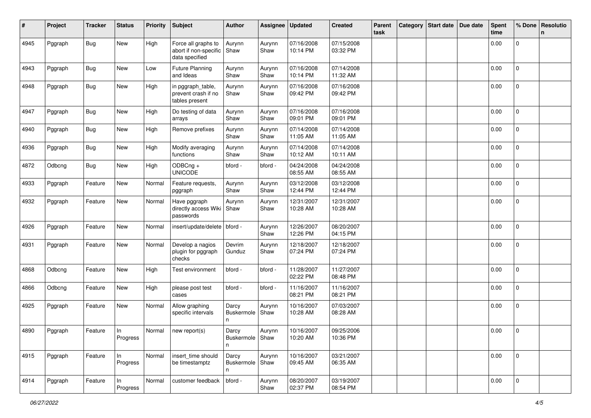| #    | Project | Tracker    | <b>Status</b>  | <b>Priority</b> | <b>Subject</b>                                                 | <b>Author</b>                   | Assignee       | <b>Updated</b>         | <b>Created</b>         | Parent<br>task | Category | <b>Start date</b> | Due date | <b>Spent</b><br>time | % Done         | Resolutio<br>$\mathbf n$ |
|------|---------|------------|----------------|-----------------|----------------------------------------------------------------|---------------------------------|----------------|------------------------|------------------------|----------------|----------|-------------------|----------|----------------------|----------------|--------------------------|
| 4945 | Pggraph | <b>Bug</b> | New            | High            | Force all graphs to<br>abort if non-specific<br>data specified | Aurynn<br>Shaw                  | Aurynn<br>Shaw | 07/16/2008<br>10:14 PM | 07/15/2008<br>03:32 PM |                |          |                   |          | 0.00                 | 0              |                          |
| 4943 | Pggraph | <b>Bug</b> | New            | Low             | <b>Future Planning</b><br>and Ideas                            | Aurynn<br>Shaw                  | Aurynn<br>Shaw | 07/16/2008<br>10:14 PM | 07/14/2008<br>11:32 AM |                |          |                   |          | 0.00                 | $\mathbf 0$    |                          |
| 4948 | Pggraph | Bug        | New            | High            | in pggraph_table,<br>prevent crash if no<br>tables present     | Aurynn<br>Shaw                  | Aurynn<br>Shaw | 07/16/2008<br>09:42 PM | 07/16/2008<br>09:42 PM |                |          |                   |          | 0.00                 | $\mathbf 0$    |                          |
| 4947 | Pggraph | Bug        | New            | High            | Do testing of data<br>arrays                                   | Aurynn<br>Shaw                  | Aurynn<br>Shaw | 07/16/2008<br>09:01 PM | 07/16/2008<br>09:01 PM |                |          |                   |          | 0.00                 | $\mathbf 0$    |                          |
| 4940 | Pggraph | <b>Bug</b> | New            | High            | Remove prefixes                                                | Aurynn<br>Shaw                  | Aurynn<br>Shaw | 07/14/2008<br>11:05 AM | 07/14/2008<br>11:05 AM |                |          |                   |          | 0.00                 | 0              |                          |
| 4936 | Pggraph | <b>Bug</b> | New            | High            | Modify averaging<br>functions                                  | Aurynn<br>Shaw                  | Aurynn<br>Shaw | 07/14/2008<br>10:12 AM | 07/14/2008<br>10:11 AM |                |          |                   |          | 0.00                 | $\mathbf 0$    |                          |
| 4872 | Odbcng  | <b>Bug</b> | New            | High            | ODBCng +<br><b>UNICODE</b>                                     | bford -                         | bford -        | 04/24/2008<br>08:55 AM | 04/24/2008<br>08:55 AM |                |          |                   |          | 0.00                 | 0              |                          |
| 4933 | Pggraph | Feature    | New            | Normal          | Feature requests,<br>pggraph                                   | Aurynn<br>Shaw                  | Aurynn<br>Shaw | 03/12/2008<br>12:44 PM | 03/12/2008<br>12:44 PM |                |          |                   |          | 0.00                 | $\overline{0}$ |                          |
| 4932 | Pggraph | Feature    | New            | Normal          | Have pggraph<br>directly access Wiki<br>passwords              | Aurynn<br>Shaw                  | Aurynn<br>Shaw | 12/31/2007<br>10:28 AM | 12/31/2007<br>10:28 AM |                |          |                   |          | 0.00                 | 0              |                          |
| 4926 | Pggraph | Feature    | New            | Normal          | insert/update/delete   bford -                                 |                                 | Aurynn<br>Shaw | 12/26/2007<br>12:26 PM | 08/20/2007<br>04:15 PM |                |          |                   |          | 0.00                 | $\overline{0}$ |                          |
| 4931 | Pggraph | Feature    | New            | Normal          | Develop a nagios<br>plugin for pggraph<br>checks               | Devrim<br>Gunduz                | Aurynn<br>Shaw | 12/18/2007<br>07:24 PM | 12/18/2007<br>07:24 PM |                |          |                   |          | 0.00                 | 0              |                          |
| 4868 | Odbcng  | Feature    | New            | High            | Test environment                                               | bford -                         | bford -        | 11/28/2007<br>02:22 PM | 11/27/2007<br>08:48 PM |                |          |                   |          | 0.00                 | $\mathbf 0$    |                          |
| 4866 | Odbcng  | Feature    | New            | High            | please post test<br>cases                                      | bford -                         | bford -        | 11/16/2007<br>08:21 PM | 11/16/2007<br>08:21 PM |                |          |                   |          | 0.00                 | 0              |                          |
| 4925 | Pggraph | Feature    | New            | Normal          | Allow graphing<br>specific intervals                           | Darcy<br>Buskermole<br>n        | Aurynn<br>Shaw | 10/16/2007<br>10:28 AM | 07/03/2007<br>08:28 AM |                |          |                   |          | 0.00                 | 0              |                          |
| 4890 | Pggraph | Feature    | In<br>Progress | Normal          | new report(s)                                                  | Darcy<br>Buskermole   Shaw<br>n | Aurynn         | 10/16/2007<br>10:20 AM | 09/25/2006<br>10:36 PM |                |          |                   |          | 0.00                 | 0              |                          |
| 4915 | Pggraph | Feature    | In<br>Progress | Normal          | insert_time should<br>be timestamptz                           | Darcy<br>Buskermole Shaw<br>n   | Aurynn         | 10/16/2007<br>09:45 AM | 03/21/2007<br>06:35 AM |                |          |                   |          | 0.00                 | $\mathbf{0}$   |                          |
| 4914 | Pggraph | Feature    | In<br>Progress | Normal          | customer feedback                                              | bford -                         | Aurynn<br>Shaw | 08/20/2007<br>02:37 PM | 03/19/2007<br>08:54 PM |                |          |                   |          | 0.00                 | $\mathbf 0$    |                          |